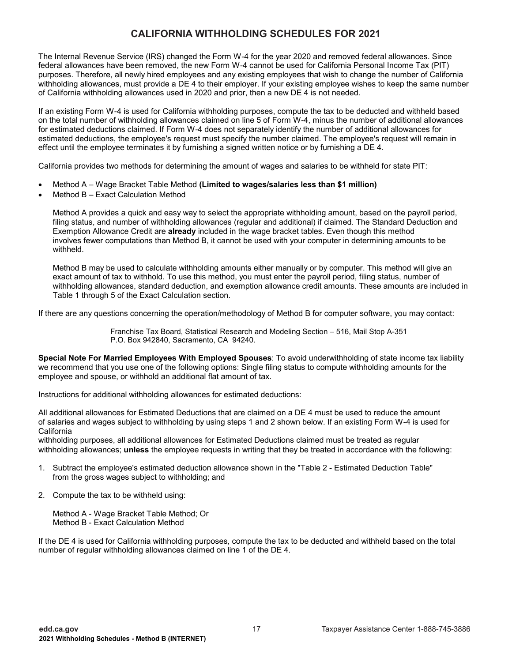The Internal Revenue Service (IRS) changed the Form W-4 for the year 2020 and removed federal allowances. Since federal allowances have been removed, the new Form W-4 cannot be used for California Personal Income Tax (PIT) purposes. Therefore, all newly hired employees and any existing employees that wish to change the number of California withholding allowances, must provide a DE 4 to their employer. If your existing employee wishes to keep the same number of California withholding allowances used in 2020 and prior, then a new DE 4 is not needed.

If an existing Form W-4 is used for California withholding purposes, compute the tax to be deducted and withheld based on the total number of withholding allowances claimed on line 5 of Form W-4, minus the number of additional allowances for estimated deductions claimed. If Form W-4 does not separately identify the number of additional allowances for estimated deductions, the employee's request must specify the number claimed. The employee's request will remain in effect until the employee terminates it by furnishing a signed written notice or by furnishing a DE 4.

California provides two methods for determining the amount of wages and salaries to be withheld for state PIT:

- Method A Wage Bracket Table Method **(Limited to wages/salaries less than \$1 million)**
- Method B Exact Calculation Method

Method A provides a quick and easy way to select the appropriate withholding amount, based on the payroll period, filing status, and number of withholding allowances (regular and additional) if claimed. The Standard Deduction and Exemption Allowance Credit are **already** included in the wage bracket tables. Even though this method involves fewer computations than Method B, it cannot be used with your computer in determining amounts to be withheld.

Method B may be used to calculate withholding amounts either manually or by computer. This method will give an exact amount of tax to withhold. To use this method, you must enter the payroll period, filing status, number of withholding allowances, standard deduction, and exemption allowance credit amounts. These amounts are included in Table 1 through 5 of the Exact Calculation section.

If there are any questions concerning the operation/methodology of Method B for computer software, you may contact:

Franchise Tax Board, Statistical Research and Modeling Section – 516, Mail Stop A-351 P.O. Box 942840, Sacramento, CA 94240.

**Special Note For Married Employees With Employed Spouses**: To avoid underwithholding of state income tax liability we recommend that you use one of the following options: Single filing status to compute withholding amounts for the employee and spouse, or withhold an additional flat amount of tax.

Instructions for additional withholding allowances for estimated deductions:

All additional allowances for Estimated Deductions that are claimed on a DE 4 must be used to reduce the amount of salaries and wages subject to withholding by using steps 1 and 2 shown below. If an existing Form W-4 is used for California

withholding purposes, all additional allowances for Estimated Deductions claimed must be treated as regular withholding allowances; **unless** the employee requests in writing that they be treated in accordance with the following:

- 1. Subtract the employee's estimated deduction allowance shown in the "Table 2 Estimated Deduction Table" from the gross wages subject to withholding; and
- 2. Compute the tax to be withheld using:

Method A - Wage Bracket Table Method; Or Method B - Exact Calculation Method

If the DE 4 is used for California withholding purposes, compute the tax to be deducted and withheld based on the total number of regular withholding allowances claimed on line 1 of the DE 4.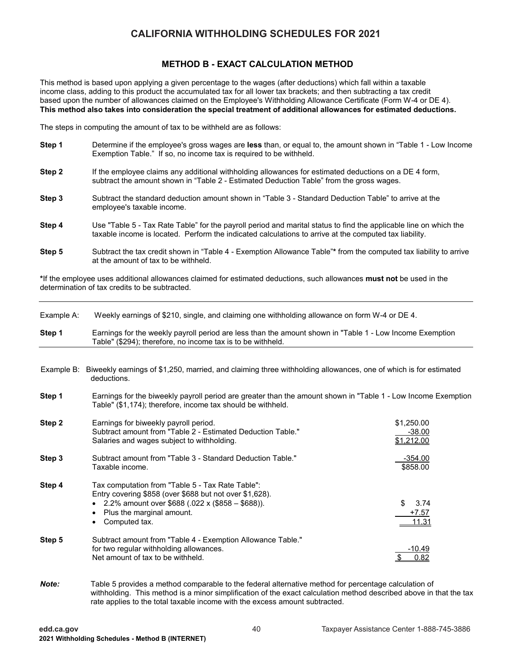## **METHOD B - EXACT CALCULATION METHOD**

This method is based upon applying a given percentage to the wages (after deductions) which fall within a taxable income class, adding to this product the accumulated tax for all lower tax brackets; and then subtracting a tax credit based upon the number of allowances claimed on the Employee's Withholding Allowance Certificate (Form W-4 or DE 4). **This method also takes into consideration the special treatment of additional allowances for estimated deductions.**

The steps in computing the amount of tax to be withheld are as follows:

- **Step 1** Determine if the employee's gross wages are **less** than, or equal to, the amount shown in "Table 1 Low Income Exemption Table." If so, no income tax is required to be withheld.
- **Step 2** If the employee claims any additional withholding allowances for estimated deductions on a DE 4 form, subtract the amount shown in "Table 2 - Estimated Deduction Table" from the gross wages.
- **Step 3** Subtract the standard deduction amount shown in "Table 3 Standard Deduction Table" to arrive at the employee's taxable income.
- **Step 4** Use "Table 5 Tax Rate Table" for the payroll period and marital status to find the applicable line on which the taxable income is located. Perform the indicated calculations to arrive at the computed tax liability.
- **Step 5** Subtract the tax credit shown in "Table 4 Exemption Allowance Table"**\*** from the computed tax liability to arrive at the amount of tax to be withheld.

**\***If the employee uses additional allowances claimed for estimated deductions, such allowances **must not** be used in the determination of tax credits to be subtracted.

| Example A: | Weekly earnings of \$210, single, and claiming one withholding allowance on form W-4 or DE 4.                                                                                                                                        |                                      |  |  |  |  |  |  |
|------------|--------------------------------------------------------------------------------------------------------------------------------------------------------------------------------------------------------------------------------------|--------------------------------------|--|--|--|--|--|--|
| Step 1     | Earnings for the weekly payroll period are less than the amount shown in "Table 1 - Low Income Exemption<br>Table" (\$294); therefore, no income tax is to be withheld.                                                              |                                      |  |  |  |  |  |  |
|            |                                                                                                                                                                                                                                      |                                      |  |  |  |  |  |  |
|            | Example B: Biweekly earnings of \$1,250, married, and claiming three withholding allowances, one of which is for estimated<br>deductions.                                                                                            |                                      |  |  |  |  |  |  |
| Step 1     | Earnings for the biweekly payroll period are greater than the amount shown in "Table 1 - Low Income Exemption<br>Table" (\$1,174); therefore, income tax should be withheld.                                                         |                                      |  |  |  |  |  |  |
| Step 2     | Earnings for biweekly payroll period.<br>Subtract amount from "Table 2 - Estimated Deduction Table."<br>Salaries and wages subject to withholding.                                                                                   | \$1,250.00<br>$-38.00$<br>\$1,212.00 |  |  |  |  |  |  |
| Step 3     | Subtract amount from "Table 3 - Standard Deduction Table."<br>Taxable income.                                                                                                                                                        | $-354.00$<br>\$858.00                |  |  |  |  |  |  |
| Step 4     | Tax computation from "Table 5 - Tax Rate Table":<br>Entry covering \$858 (over \$688 but not over \$1,628).<br>2.2% amount over \$688 (.022 x (\$858 – \$688)).<br>$\bullet$<br>Plus the marginal amount.<br>٠<br>Computed tax.<br>٠ | \$<br>3.74<br>$+7.57$<br>11.31       |  |  |  |  |  |  |
| Step 5     | Subtract amount from "Table 4 - Exemption Allowance Table."<br>for two regular withholding allowances.<br>Net amount of tax to be withheld.                                                                                          | $-10.49$<br>0.82                     |  |  |  |  |  |  |
| Note:      | Table 5 provides a method comparable to the federal alternative method for percentage calculation of                                                                                                                                 |                                      |  |  |  |  |  |  |

withholding. This method is a minor simplification of the exact calculation method described above in that the tax rate applies to the total taxable income with the excess amount subtracted.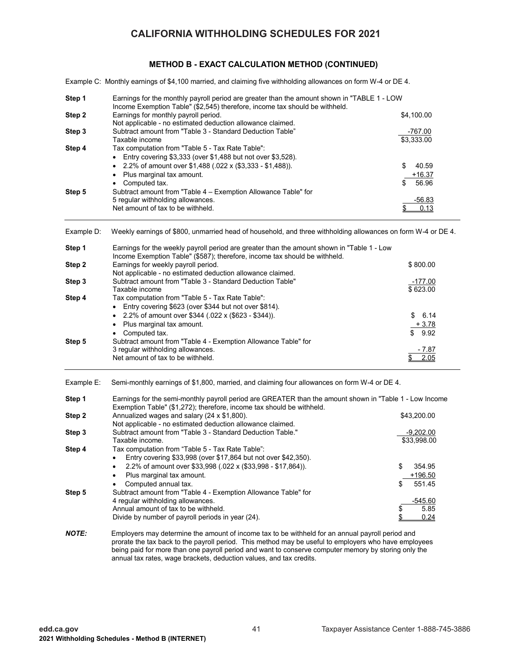### **METHOD B - EXACT CALCULATION METHOD (CONTINUED)**

Example C: Monthly earnings of \$4,100 married, and claiming five withholding allowances on form W-4 or DE 4.

| Step 1       | Earnings for the monthly payroll period are greater than the amount shown in "TABLE 1 - LOW                                                                                      |               |
|--------------|----------------------------------------------------------------------------------------------------------------------------------------------------------------------------------|---------------|
|              | Income Exemption Table" (\$2,545) therefore, income tax should be withheld.                                                                                                      |               |
| Step 2       | Earnings for monthly payroll period.<br>Not applicable - no estimated deduction allowance claimed.                                                                               | \$4,100.00    |
| Step 3       | Subtract amount from "Table 3 - Standard Deduction Table"                                                                                                                        | -767.00       |
|              | Taxable income                                                                                                                                                                   | \$3,333.00    |
| Step 4       | Tax computation from "Table 5 - Tax Rate Table":                                                                                                                                 |               |
|              | Entry covering \$3,333 (over \$1,488 but not over \$3,528).<br>$\bullet$                                                                                                         |               |
|              | 2.2% of amount over \$1,488 (.022 x (\$3,333 - \$1,488)).<br>$\bullet$                                                                                                           | \$<br>40.59   |
|              | Plus marginal tax amount.<br>$\bullet$                                                                                                                                           | $+16.37$      |
|              | Computed tax.<br>$\bullet$                                                                                                                                                       | 56.96<br>\$   |
| Step 5       | Subtract amount from "Table 4 - Exemption Allowance Table" for                                                                                                                   |               |
|              | 5 regular withholding allowances.<br>Net amount of tax to be withheld.                                                                                                           | <u>-56.83</u> |
|              |                                                                                                                                                                                  | 0.13<br>\$    |
| Example D:   | Weekly earnings of \$800, unmarried head of household, and three withholding allowances on form W-4 or DE 4.                                                                     |               |
| Step 1       | Earnings for the weekly payroll period are greater than the amount shown in "Table 1 - Low<br>Income Exemption Table" (\$587); therefore, income tax should be withheld.         |               |
| Step 2       | Earnings for weekly payroll period.                                                                                                                                              | \$800.00      |
|              | Not applicable - no estimated deduction allowance claimed.                                                                                                                       |               |
| Step 3       | Subtract amount from "Table 3 - Standard Deduction Table"                                                                                                                        | $-177.00$     |
|              | Taxable income                                                                                                                                                                   | \$623.00      |
| Step 4       | Tax computation from "Table 5 - Tax Rate Table":                                                                                                                                 |               |
|              | Entry covering \$623 (over \$344 but not over \$814).<br>$\bullet$                                                                                                               |               |
|              | 2.2% of amount over \$344 (.022 x (\$623 - \$344)).<br>$\bullet$                                                                                                                 | 6.14          |
|              | Plus marginal tax amount.                                                                                                                                                        | $+3.78$       |
|              | Computed tax.<br>$\bullet$                                                                                                                                                       | \$<br>9.92    |
| Step 5       | Subtract amount from "Table 4 - Exemption Allowance Table" for<br>3 regular withholding allowances.                                                                              | $-7.87$       |
|              | Net amount of tax to be withheld.                                                                                                                                                | 2.05<br>S     |
|              |                                                                                                                                                                                  |               |
| Example E:   | Semi-monthly earnings of \$1,800, married, and claiming four allowances on form W-4 or DE 4.                                                                                     |               |
| Step 1       | Earnings for the semi-monthly payroll period are GREATER than the amount shown in "Table 1 - Low Income<br>Exemption Table" (\$1,272); therefore, income tax should be withheld. |               |
| Step 2       | Annualized wages and salary (24 x \$1,800).                                                                                                                                      | \$43,200.00   |
|              | Not applicable - no estimated deduction allowance claimed.                                                                                                                       |               |
| Step 3       | Subtract amount from "Table 3 - Standard Deduction Table."                                                                                                                       | $-9,202.00$   |
|              | Taxable income.                                                                                                                                                                  | \$33,998.00   |
| Step 4       | Tax computation from "Table 5 - Tax Rate Table":                                                                                                                                 |               |
|              | Entry covering \$33,998 (over \$17,864 but not over \$42,350).<br>$\bullet$                                                                                                      |               |
|              | 2.2% of amount over \$33,998 (.022 x (\$33,998 - \$17,864)).<br>$\bullet$                                                                                                        | \$<br>354.95  |
|              | Plus marginal tax amount.                                                                                                                                                        | $+196.50$     |
|              | Computed annual tax.                                                                                                                                                             | 551.45        |
| Step 5       | Subtract amount from "Table 4 - Exemption Allowance Table" for<br>4 regular withholding allowances.                                                                              | $-545.60$     |
|              | Annual amount of tax to be withheld.                                                                                                                                             | 5.85<br>\$    |
|              | Divide by number of payroll periods in year (24).                                                                                                                                | \$<br>0.24    |
|              |                                                                                                                                                                                  |               |
| <b>NOTE:</b> | Employers may determine the amount of income tax to be withheld for an annual payroll period and                                                                                 |               |

 prorate the tax back to the payroll period. This method may be useful to employers who have employees being paid for more than one payroll period and want to conserve computer memory by storing only the annual tax rates, wage brackets, deduction values, and tax credits.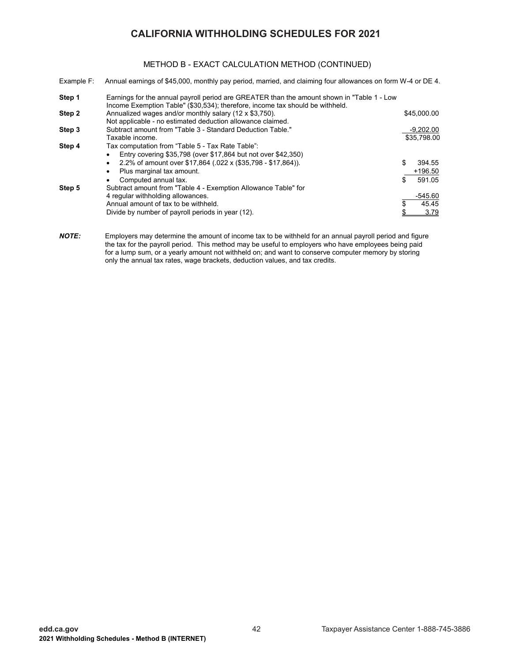### METHOD B - EXACT CALCULATION METHOD (CONTINUED)

| Example F: | Annual earnings of \$45,000, monthly pay period, married, and claiming four allowances on form W-4 or DE 4.                                                                 |                            |
|------------|-----------------------------------------------------------------------------------------------------------------------------------------------------------------------------|----------------------------|
| Step 1     | Earnings for the annual payroll period are GREATER than the amount shown in "Table 1 - Low<br>Income Exemption Table" (\$30,534); therefore, income tax should be withheld. |                            |
| Step 2     | Annualized wages and/or monthly salary (12 x \$3,750).<br>Not applicable - no estimated deduction allowance claimed.                                                        | \$45,000.00                |
| Step 3     | Subtract amount from "Table 3 - Standard Deduction Table."<br>Taxable income.                                                                                               | -9,202.00<br>\$35.798.00   |
| Step 4     | Tax computation from "Table 5 - Tax Rate Table":<br>Entry covering \$35,798 (over \$17,864 but not over \$42,350)<br>٠                                                      |                            |
|            | 2.2% of amount over \$17,864 (.022 x (\$35,798 - \$17,864)).<br>٠<br>Plus marginal tax amount.<br>٠                                                                         | \$<br>394.55<br>$+196.50$  |
| Step 5     | Computed annual tax.<br>٠<br>Subtract amount from "Table 4 - Exemption Allowance Table" for                                                                                 | \$<br>591.05               |
|            | 4 regular withholding allowances.<br>Annual amount of tax to be withheld.                                                                                                   | $-545.60$<br>45.45<br>3.79 |
|            | Divide by number of payroll periods in year (12).                                                                                                                           |                            |

*NOTE:* Employers may determine the amount of income tax to be withheld for an annual payroll period and figure the tax for the payroll period. This method may be useful to employers who have employees being paid for a lump sum, or a yearly amount not withheld on; and want to conserve computer memory by storing only the annual tax rates, wage brackets, deduction values, and tax credits.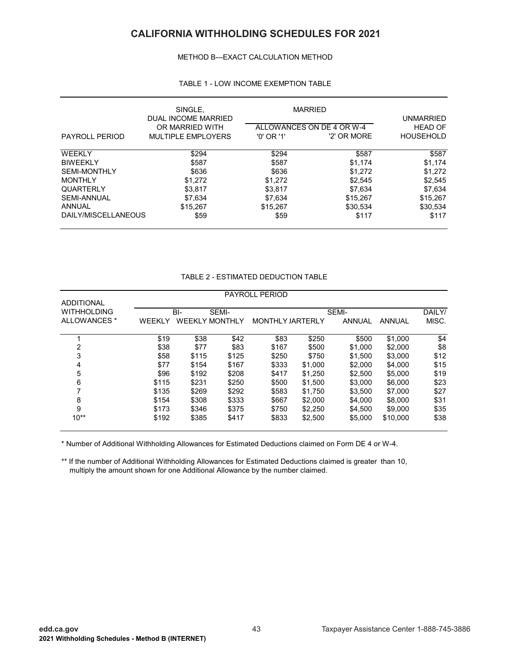#### METHOD B---EXACT CALCULATION METHOD

### TABLE 1 - LOW INCOME EXEMPTION TABLE

|                       | SINGLE,<br>DUAL INCOME MARRIED               |            | <b>MARRIED</b>                           | UNMARRIED                          |
|-----------------------|----------------------------------------------|------------|------------------------------------------|------------------------------------|
| <b>PAYROLL PERIOD</b> | OR MARRIED WITH<br><b>MULTIPLE EMPLOYERS</b> | '0' OR '1' | ALLOWANCES ON DE 4 OR W-4<br>'2' OR MORE | <b>HEAD OF</b><br><b>HOUSEHOLD</b> |
| <b>WEEKLY</b>         | \$294                                        | \$294      | \$587                                    | \$587                              |
| <b>BIWEEKLY</b>       | \$587                                        | \$587      | \$1.174                                  | \$1.174                            |
| <b>SEMI-MONTHLY</b>   | \$636                                        | \$636      | \$1,272                                  | \$1,272                            |
| <b>MONTHLY</b>        | \$1.272                                      | \$1,272    | \$2,545                                  | \$2,545                            |
| <b>QUARTERLY</b>      | \$3.817                                      | \$3,817    | \$7,634                                  | \$7,634                            |
| <b>SEMI-ANNUAL</b>    | \$7,634                                      | \$7,634    | \$15,267                                 | \$15,267                           |
| ANNUAL                | \$15.267                                     | \$15,267   | \$30.534                                 | \$30.534                           |
| DAILY/MISCELLANEOUS   | \$59                                         | \$59       | \$117                                    | \$117                              |

| TABLE 2 - ESTIMATED DEDUCTION TABLE |  |
|-------------------------------------|--|
|-------------------------------------|--|

|                    |               |                       |       | <b>PAYROLL PERIOD</b>   |         |               |          |        |  |  |
|--------------------|---------------|-----------------------|-------|-------------------------|---------|---------------|----------|--------|--|--|
| <b>ADDITIONAL</b>  |               |                       |       |                         |         |               |          |        |  |  |
| <b>WITHHOLDING</b> |               | BI-                   | SEMI- |                         |         | SEMI-         |          | DAILY/ |  |  |
| ALLOWANCES *       | <b>WEEKLY</b> | <b>WEEKLY MONTHLY</b> |       | <b>MONTHLY JARTERLY</b> |         | <b>ANNUAL</b> | ANNUAL   | MISC.  |  |  |
|                    | \$19          | \$38                  | \$42  | \$83                    | \$250   | \$500         | \$1,000  | \$4    |  |  |
| 2                  | \$38          | \$77                  | \$83  | \$167                   | \$500   | \$1,000       | \$2,000  | \$8    |  |  |
| 3                  | \$58          | \$115                 | \$125 | \$250                   | \$750   | \$1.500       | \$3,000  | \$12   |  |  |
| 4                  | \$77          | \$154                 | \$167 | \$333                   | \$1.000 | \$2,000       | \$4,000  | \$15   |  |  |
| 5                  | \$96          | \$192                 | \$208 | \$417                   | \$1.250 | \$2.500       | \$5,000  | \$19   |  |  |
| 6                  | \$115         | \$231                 | \$250 | \$500                   | \$1.500 | \$3,000       | \$6,000  | \$23   |  |  |
|                    | \$135         | \$269                 | \$292 | \$583                   | \$1.750 | \$3,500       | \$7,000  | \$27   |  |  |
| 8                  | \$154         | \$308                 | \$333 | \$667                   | \$2,000 | \$4,000       | \$8,000  | \$31   |  |  |
| 9                  | \$173         | \$346                 | \$375 | \$750                   | \$2,250 | \$4,500       | \$9,000  | \$35   |  |  |
| $10^{**}$          | \$192         | \$385                 | \$417 | \$833                   | \$2,500 | \$5,000       | \$10,000 | \$38   |  |  |

\* Number of Additional Withholding Allowances for Estimated Deductions claimed on Form DE 4 or W-4.

\*\* If the number of Additional Withholding Allowances for Estimated Deductions claimed is greater than 10, multiply the amount shown for one Additional Allowance by the number claimed.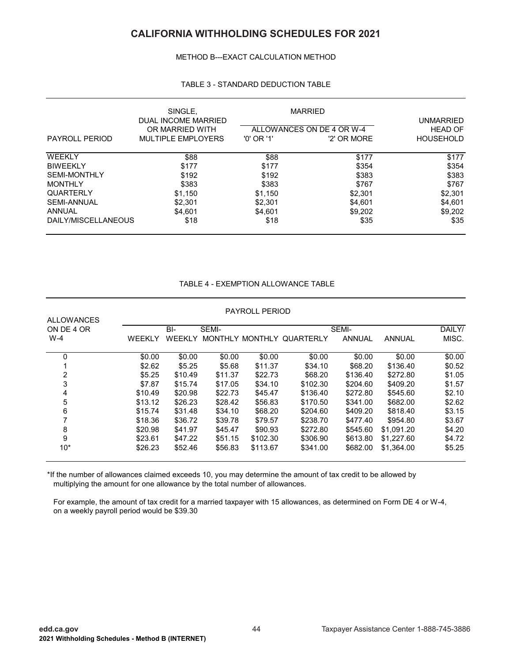METHOD B---EXACT CALCULATION METHOD

|                     | SINGLE,<br>DUAL INCOME MARRIED |            | <b>MARRIED</b>            | <b>UNMARRIED</b> |
|---------------------|--------------------------------|------------|---------------------------|------------------|
|                     | OR MARRIED WITH                |            | ALLOWANCES ON DE 4 OR W-4 | <b>HEAD OF</b>   |
| PAYROLL PERIOD      | <b>MULTIPLE EMPLOYERS</b>      | '0' OR '1' | '2' OR MORE               | <b>HOUSEHOLD</b> |
| WEEKLY              | \$88                           | \$88       | \$177                     | \$177            |
| BIWEEKLY            | \$177                          | \$177      | \$354                     | \$354            |
| SEMI-MONTHLY        | \$192                          | \$192      | \$383                     | \$383            |
| MONTHLY             | \$383                          | \$383      | \$767                     | \$767            |
| QUARTERLY           | \$1,150                        | \$1,150    | \$2,301                   | \$2,301          |
| SEMI-ANNUAL         | \$2,301                        | \$2,301    | \$4,601                   | \$4,601          |
| ANNUAL              | \$4,601                        | \$4,601    | \$9,202                   | \$9,202          |
| DAILY/MISCELLANEOUS | \$18                           | \$18       | \$35                      | \$35             |

#### TABLE 3 - STANDARD DEDUCTION TABLE

### TABLE 4 - EXEMPTION ALLOWANCE TABLE

| <b>ALLOWANCES</b> |         |         |                | <b>PAYROLL PERIOD</b> |           |               |               |        |
|-------------------|---------|---------|----------------|-----------------------|-----------|---------------|---------------|--------|
| ON DE 4 OR        |         | BI-     | SEMI-          |                       |           | SEMI-         |               | DAILY/ |
| $W-4$             | WEEKLY  | WEEKLY  | <b>MONTHLY</b> | MONTHLY               | QUARTERLY | <b>ANNUAL</b> | <b>ANNUAL</b> | MISC.  |
| 0                 | \$0.00  | \$0.00  | \$0.00         | \$0.00                | \$0.00    | \$0.00        | \$0.00        | \$0.00 |
|                   | \$2.62  | \$5.25  | \$5.68         | \$11.37               | \$34.10   | \$68.20       | \$136.40      | \$0.52 |
| 2                 | \$5.25  | \$10.49 | \$11.37        | \$22.73               | \$68.20   | \$136.40      | \$272.80      | \$1.05 |
| 3                 | \$7.87  | \$15.74 | \$17.05        | \$34.10               | \$102.30  | \$204.60      | \$409.20      | \$1.57 |
| 4                 | \$10.49 | \$20.98 | \$22.73        | \$45.47               | \$136.40  | \$272.80      | \$545.60      | \$2.10 |
| 5                 | \$13.12 | \$26.23 | \$28.42        | \$56.83               | \$170.50  | \$341.00      | \$682.00      | \$2.62 |
| 6                 | \$15.74 | \$31.48 | \$34.10        | \$68.20               | \$204.60  | \$409.20      | \$818.40      | \$3.15 |
|                   | \$18.36 | \$36.72 | \$39.78        | \$79.57               | \$238.70  | \$477.40      | \$954.80      | \$3.67 |
| 8                 | \$20.98 | \$41.97 | \$45.47        | \$90.93               | \$272.80  | \$545.60      | \$1,091.20    | \$4.20 |
| 9                 | \$23.61 | \$47.22 | \$51.15        | \$102.30              | \$306.90  | \$613.80      | \$1,227.60    | \$4.72 |
| $10*$             | \$26.23 | \$52.46 | \$56.83        | \$113.67              | \$341.00  | \$682.00      | \$1,364.00    | \$5.25 |

\*If the number of allowances claimed exceeds 10, you may determine the amount of tax credit to be allowed by multiplying the amount for one allowance by the total number of allowances.

 For example, the amount of tax credit for a married taxpayer with 15 allowances, as determined on Form DE 4 or W-4, on a weekly payroll period would be \$39.30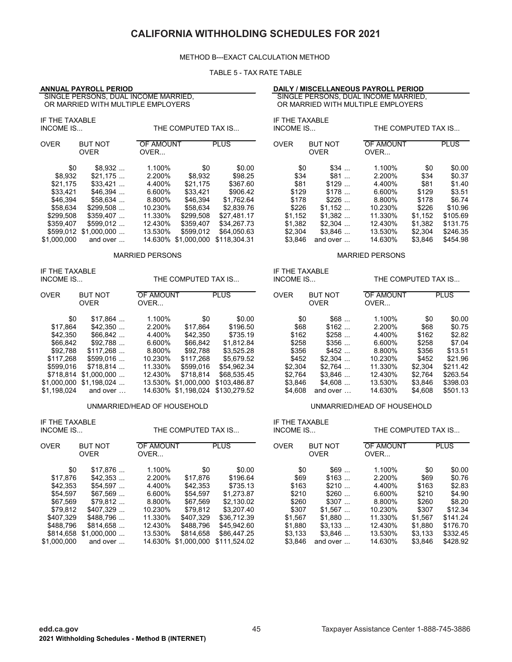#### METHOD B---EXACT CALCULATION METHOD

#### TABLE 5 - TAX RATE TABLE

| <b>ANNUAL PAYROLL PERIOD</b>                                                                                                                                                                                                                             | SINGLE PERSONS, DUAL INCOME MARRIED,<br>OR MARRIED WITH MULTIPLE EMPLOYERS                                                                                                                                                  |                                                                                                                                        | DAILY / MISCELLANEOUS PAYROLL PERIOD<br>SINGLE PERSONS, DUAL INCOME MARRIED,<br>OR MARRIED WITH MULTIPLE EMPLOYERS |                                                                                                      |                                                                                                       |                                                                                             |                                                                                                            |
|----------------------------------------------------------------------------------------------------------------------------------------------------------------------------------------------------------------------------------------------------------|-----------------------------------------------------------------------------------------------------------------------------------------------------------------------------------------------------------------------------|----------------------------------------------------------------------------------------------------------------------------------------|--------------------------------------------------------------------------------------------------------------------|------------------------------------------------------------------------------------------------------|-------------------------------------------------------------------------------------------------------|---------------------------------------------------------------------------------------------|------------------------------------------------------------------------------------------------------------|
| IF THE TAXABLE<br><b>INCOME IS</b>                                                                                                                                                                                                                       | THE COMPUTED TAX IS                                                                                                                                                                                                         |                                                                                                                                        | IF THE TAXABLE<br><b>INCOME IS</b>                                                                                 |                                                                                                      | THE COMPUTED TAX IS                                                                                   |                                                                                             |                                                                                                            |
| <b>OVER</b><br><b>BUT NOT</b><br><b>OVER</b>                                                                                                                                                                                                             | OF AMOUNT<br>OVER                                                                                                                                                                                                           | <b>PLUS</b>                                                                                                                            | <b>OVER</b>                                                                                                        | <b>BUT NOT</b><br><b>OVER</b>                                                                        | OF AMOUNT<br>OVER                                                                                     |                                                                                             | <b>PLUS</b>                                                                                                |
| \$0<br>\$8,932<br>\$21,175<br>\$8,932<br>\$21,175<br>$$33,421$<br>$$46,394$<br>\$33,421<br>\$46,394<br>$$58,634$<br>\$58,634<br>\$299,508<br>\$299,508<br>\$359,407<br>\$359,407<br>$$599,012$<br>\$599,012 \$1,000,000<br>\$1,000,000<br>and over       | 1.100%<br>\$0<br>2.200%<br>\$8,932<br>4.400%<br>\$21,175<br>6.600%<br>\$33,421<br>8.800%<br>\$46,394<br>10.230%<br>\$58,634<br>\$299,508<br>11.330%<br>12.430%<br>\$359,407<br>13.530%<br>\$599,012<br>14.630% \$1,000,000  | \$0.00<br>\$98.25<br>\$367.60<br>\$906.42<br>\$1.762.64<br>\$2,839.76<br>\$27,481.17<br>\$34,267.73<br>\$64,050.63<br>\$118,304.31     | \$0<br>\$34<br>\$81<br>\$129<br>\$178<br>\$226<br>\$1,152<br>\$1,382<br>\$2,304<br>\$3,846                         | \$34<br>\$81<br>\$129<br>\$178<br>$$226$<br>\$1,152<br>$$1,382$<br>$$2,304$<br>$$3,846$<br>and over  | 1.100%<br>2.200%<br>4.400%<br>6.600%<br>8.800%<br>10.230%<br>11.330%<br>12.430%<br>13.530%<br>14.630% | \$0<br>\$34<br>\$81<br>\$129<br>\$178<br>\$226<br>\$1,152<br>\$1,382<br>\$2,304<br>\$3,846  | \$0.00<br>\$0.37<br>\$1.40<br>\$3.51<br>\$6.74<br>\$10.96<br>\$105.69<br>\$131.75<br>\$246.35<br>\$454.98  |
|                                                                                                                                                                                                                                                          | <b>MARRIED PERSONS</b>                                                                                                                                                                                                      |                                                                                                                                        |                                                                                                                    |                                                                                                      | <b>MARRIED PERSONS</b>                                                                                |                                                                                             |                                                                                                            |
| IF THE TAXABLE<br><b>INCOME IS</b>                                                                                                                                                                                                                       | THE COMPUTED TAX IS                                                                                                                                                                                                         |                                                                                                                                        |                                                                                                                    | IF THE TAXABLE<br><b>INCOME IS</b><br>THE COMPUTED TAX IS                                            |                                                                                                       |                                                                                             |                                                                                                            |
| <b>BUT NOT</b><br><b>OVER</b><br><b>OVER</b>                                                                                                                                                                                                             | OF AMOUNT<br>OVER                                                                                                                                                                                                           | <b>PLUS</b>                                                                                                                            | <b>OVER</b>                                                                                                        | <b>BUT NOT</b><br><b>OVER</b>                                                                        | <b>OF AMOUNT</b><br>OVER                                                                              |                                                                                             | <b>PLUS</b>                                                                                                |
| \$0<br>$$17,864$<br>\$17,864<br>\$42,350<br>\$66,842<br>\$42,350<br>\$92,788<br>\$66,842<br>\$117,268<br>\$92,788<br>\$117,268<br>$$599,016$<br>$$718,814$<br>\$599,016<br>\$718,814 \$1,000,000<br>$$1,000,000$ $$1,198,024$<br>\$1,198,024<br>and over | 1.100%<br>\$0<br>2.200%<br>\$17,864<br>4.400%<br>\$42,350<br>6.600%<br>\$66,842<br>8.800%<br>\$92,788<br>10.230%<br>\$117,268<br>11.330%<br>\$599,016<br>12.430%<br>\$718,814<br>13.530% \$1,000,000<br>14.630% \$1,198,024 | \$0.00<br>\$196.50<br>\$735.19<br>\$1,812.84<br>\$3,525.28<br>\$5,679.52<br>\$54,962.34<br>\$68,535.45<br>\$103,486.87<br>\$130,279.52 | \$0<br>\$68<br>\$162<br>\$258<br>\$356<br>\$452<br>\$2,304<br>\$2,764<br>\$3,846<br>\$4,608                        | \$68<br>\$162<br>\$258<br>\$356<br>\$452<br>$$2,304$<br>$$2,764$<br>$$3,846$<br>\$4,608<br>and over  | 1.100%<br>2.200%<br>4.400%<br>6.600%<br>8.800%<br>10.230%<br>11.330%<br>12.430%<br>13.530%<br>14.630% | \$0<br>\$68<br>\$162<br>\$258<br>\$356<br>\$452<br>\$2,304<br>\$2,764<br>\$3,846<br>\$4,608 | \$0.00<br>\$0.75<br>\$2.82<br>\$7.04<br>\$13.51<br>\$21.96<br>\$211.42<br>\$263.54<br>\$398.03<br>\$501.13 |
|                                                                                                                                                                                                                                                          | UNMARRIED/HEAD OF HOUSEHOLD                                                                                                                                                                                                 |                                                                                                                                        |                                                                                                                    |                                                                                                      | UNMARRIED/HEAD OF HOUSEHOLD                                                                           |                                                                                             |                                                                                                            |
| IF THE TAXABLE<br><b>INCOME IS</b>                                                                                                                                                                                                                       | THE COMPUTED TAX IS                                                                                                                                                                                                         |                                                                                                                                        | IF THE TAXABLE<br><b>INCOME IS</b>                                                                                 |                                                                                                      | THE COMPUTED TAX IS                                                                                   |                                                                                             |                                                                                                            |
| <b>OVER</b><br><b>BUT NOT</b><br><b>OVER</b>                                                                                                                                                                                                             | <b>OF AMOUNT</b><br>OVER                                                                                                                                                                                                    | <b>PLUS</b>                                                                                                                            | <b>OVER</b>                                                                                                        | <b>BUT NOT</b><br><b>OVER</b>                                                                        | OF AMOUNT<br>OVER                                                                                     |                                                                                             | <b>PLUS</b>                                                                                                |
| \$0<br>\$17,876<br>\$17,876<br>$$42,353$<br>\$42,353<br>\$54,597<br>\$54,597<br>$$67,569$<br>\$79,812<br>\$67,569<br>\$79,812<br>$$407,329$<br>\$407,329<br>\$488,796<br>\$488,796<br>\$814,658<br>\$814,658 \$1,000,000<br>\$1,000,000<br>and over      | 1.100%<br>\$0<br>2.200%<br>\$17,876<br>4.400%<br>\$42,353<br>6.600%<br>\$54,597<br>8.800%<br>\$67,569<br>10.230%<br>\$79,812<br>11.330%<br>\$407,329<br>12.430%<br>\$488,796<br>13.530%<br>\$814,658<br>14.630% \$1,000,000 | \$0.00<br>\$196.64<br>\$735.13<br>\$1,273.87<br>\$2,130.02<br>\$3,207.40<br>\$36,712.39<br>\$45,942.60<br>\$86,447.25<br>\$111,524.02  | \$0<br>\$69<br>\$163<br>\$210<br>\$260<br>\$307<br>\$1,567<br>\$1,880<br>\$3,133<br>\$3,846                        | \$69<br>\$163<br>\$210<br>\$260<br>\$307<br>$$1,567$<br>$$1,880$<br>$$3,133$<br>$$3,846$<br>and over | 1.100%<br>2.200%<br>4.400%<br>6.600%<br>8.800%<br>10.230%<br>11.330%<br>12.430%<br>13.530%<br>14.630% | \$0<br>\$69<br>\$163<br>\$210<br>\$260<br>\$307<br>\$1,567<br>\$1,880<br>\$3,133<br>\$3,846 | \$0.00<br>\$0.76<br>\$2.83<br>\$4.90<br>\$8.20<br>\$12.34<br>\$141.24<br>\$176.70<br>\$332.45<br>\$428.92  |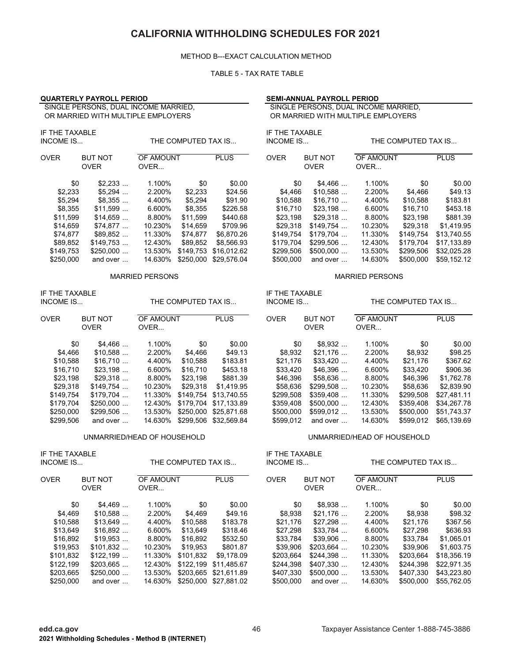#### METHOD B---EXACT CALCULATION METHOD

#### TABLE 5 - TAX RATE TABLE

|                                                                                                                    | <b>QUARTERLY PAYROLL PERIOD</b>                                                                                             |                                                                                                       |                                                                                                   |                                                                                                                                                     |                                                                                                                    | <b>SEMI-ANNUAL PAYROLL PERIOD</b>                                                                                            |                                                                                                       |                                                                                                                    |                                                                                                                                   |  |  |
|--------------------------------------------------------------------------------------------------------------------|-----------------------------------------------------------------------------------------------------------------------------|-------------------------------------------------------------------------------------------------------|---------------------------------------------------------------------------------------------------|-----------------------------------------------------------------------------------------------------------------------------------------------------|--------------------------------------------------------------------------------------------------------------------|------------------------------------------------------------------------------------------------------------------------------|-------------------------------------------------------------------------------------------------------|--------------------------------------------------------------------------------------------------------------------|-----------------------------------------------------------------------------------------------------------------------------------|--|--|
|                                                                                                                    | SINGLE PERSONS, DUAL INCOME MARRIED,<br>OR MARRIED WITH MULTIPLE EMPLOYERS                                                  |                                                                                                       |                                                                                                   |                                                                                                                                                     |                                                                                                                    | SINGLE PERSONS, DUAL INCOME MARRIED,<br>OR MARRIED WITH MULTIPLE EMPLOYERS                                                   |                                                                                                       |                                                                                                                    |                                                                                                                                   |  |  |
| IF THE TAXABLE<br><b>INCOME IS</b>                                                                                 |                                                                                                                             |                                                                                                       | THE COMPUTED TAX IS                                                                               |                                                                                                                                                     | IF THE TAXABLE<br>INCOME IS                                                                                        |                                                                                                                              |                                                                                                       | THE COMPUTED TAX IS                                                                                                |                                                                                                                                   |  |  |
| <b>OVER</b>                                                                                                        | <b>BUT NOT</b><br><b>OVER</b>                                                                                               | OF AMOUNT<br>OVER                                                                                     |                                                                                                   | <b>PLUS</b>                                                                                                                                         | <b>OVER</b>                                                                                                        | <b>BUT NOT</b><br><b>OVER</b>                                                                                                | OF AMOUNT<br>OVER                                                                                     |                                                                                                                    | <b>PLUS</b>                                                                                                                       |  |  |
| \$0<br>\$2,233<br>\$5,294<br>\$8,355<br>\$11,599<br>\$14,659<br>\$74,877<br>\$89,852<br>\$149,753<br>\$250,000     | $$2,233$<br>$$5,294$<br>\$8,355<br>\$11,599<br>\$14,659<br>\$74,877<br>\$89,852<br>$$149,753$<br>\$250,000<br>and over      | 1.100%<br>2.200%<br>4.400%<br>6.600%<br>8.800%<br>10.230%<br>11.330%<br>12.430%<br>13.530%<br>14.630% | \$0<br>\$2,233<br>\$5,294<br>\$8,355<br>\$11,599<br>\$14,659<br>\$74,877<br>\$89,852<br>\$250,000 | \$0.00<br>\$24.56<br>\$91.90<br>\$226.58<br>\$440.68<br>\$709.96<br>\$6,870.26<br>\$8,566.93<br>\$149,753 \$16,012.62<br>\$29,576.04                | \$0<br>\$4,466<br>\$10,588<br>\$16,710<br>\$23,198<br>\$29,318<br>\$149,754<br>\$179,704<br>\$299,506<br>\$500,000 | $$4,466$<br>\$10,588<br>\$16,710<br>\$23,198<br>$$29,318$<br>$$149,754$<br>$$179,704$<br>$$299,506$<br>\$500,000<br>and over | 1.100%<br>2.200%<br>4.400%<br>6.600%<br>8.800%<br>10.230%<br>11.330%<br>12.430%<br>13.530%<br>14.630% | \$0<br>\$4,466<br>\$10,588<br>\$16,710<br>\$23,198<br>\$29,318<br>\$149,754<br>\$179,704<br>\$299,506<br>\$500,000 | \$0.00<br>\$49.13<br>\$183.81<br>\$453.18<br>\$881.39<br>\$1,419.95<br>\$13,740.55<br>\$17,133.89<br>\$32,025.28<br>\$59,152.12   |  |  |
| <b>MARRIED PERSONS</b>                                                                                             |                                                                                                                             |                                                                                                       |                                                                                                   |                                                                                                                                                     | <b>MARRIED PERSONS</b>                                                                                             |                                                                                                                              |                                                                                                       |                                                                                                                    |                                                                                                                                   |  |  |
| IF THE TAXABLE<br><b>INCOME IS</b>                                                                                 |                                                                                                                             |                                                                                                       | THE COMPUTED TAX IS                                                                               |                                                                                                                                                     | IF THE TAXABLE<br>INCOME IS                                                                                        |                                                                                                                              |                                                                                                       | THE COMPUTED TAX IS                                                                                                |                                                                                                                                   |  |  |
| <b>OVER</b>                                                                                                        | <b>BUT NOT</b><br><b>OVER</b>                                                                                               | OF AMOUNT<br>OVER                                                                                     |                                                                                                   | <b>PLUS</b>                                                                                                                                         | <b>OVER</b>                                                                                                        | <b>BUT NOT</b><br><b>OVER</b>                                                                                                | OF AMOUNT<br>OVER                                                                                     |                                                                                                                    | <b>PLUS</b>                                                                                                                       |  |  |
| \$0<br>\$4,466<br>\$10,588<br>\$16,710<br>\$23,198<br>\$29,318<br>\$149,754<br>\$179,704<br>\$250,000<br>\$299,506 | \$4,466<br>\$10,588<br>\$16,710<br>\$23,198<br>$$29,318$<br>$$149,754$<br>$$179,704$<br>\$250,000<br>$$299,506$<br>and over | 1.100%<br>2.200%<br>4.400%<br>6.600%<br>8.800%<br>10.230%<br>11.330%<br>12.430%<br>13.530%<br>14.630% | \$0<br>\$4,466<br>\$10,588<br>\$16,710<br>\$23,198<br>\$29,318<br>\$149,754<br>\$179,704          | \$0.00<br>\$49.13<br>\$183.81<br>\$453.18<br>\$881.39<br>\$1,419.95<br>\$13,740.55<br>\$17,133.89<br>\$250,000 \$25,871.68<br>\$299,506 \$32,569.84 | \$0<br>\$8,932<br>\$21,176<br>\$33,420<br>\$46,396<br>\$58,636<br>\$299,508<br>\$359,408<br>\$500,000<br>\$599,012 | \$8,932<br>$$21,176$<br>$$33,420$<br>\$46,396<br>\$58,636<br>\$299,508<br>\$359,408<br>\$500,000<br>\$599,012<br>and over    | 1.100%<br>2.200%<br>4.400%<br>6.600%<br>8.800%<br>10.230%<br>11.330%<br>12.430%<br>13.530%<br>14.630% | \$0<br>\$8,932<br>\$21,176<br>\$33,420<br>\$46,396<br>\$58,636<br>\$299,508<br>\$359,408<br>\$500,000<br>\$599,012 | \$0.00<br>\$98.25<br>\$367.62<br>\$906.36<br>\$1,762.78<br>\$2,839.90<br>\$27,481.11<br>\$34,267.78<br>\$51,743.37<br>\$65,139.69 |  |  |
|                                                                                                                    | UNMARRIED/HEAD OF HOUSEHOLD                                                                                                 |                                                                                                       |                                                                                                   |                                                                                                                                                     |                                                                                                                    |                                                                                                                              | UNMARRIED/HEAD OF HOUSEHOLD                                                                           |                                                                                                                    |                                                                                                                                   |  |  |
| IF THE TAXABLE<br>INCOME IS                                                                                        |                                                                                                                             |                                                                                                       | THE COMPUTED TAX IS                                                                               |                                                                                                                                                     | IF THE TAXABLE<br>INCOME IS                                                                                        |                                                                                                                              |                                                                                                       | THE COMPUTED TAX IS                                                                                                |                                                                                                                                   |  |  |
| <b>OVER</b>                                                                                                        | <b>BUT NOT</b><br><b>OVER</b>                                                                                               | OF AMOUNT<br>OVER                                                                                     |                                                                                                   | <b>PLUS</b>                                                                                                                                         | <b>OVER</b>                                                                                                        | <b>BUT NOT</b><br><b>OVER</b>                                                                                                | OF AMOUNT<br>OVER                                                                                     |                                                                                                                    | <b>PLUS</b>                                                                                                                       |  |  |
| \$0<br>\$4,469<br>\$10,588<br>\$13,649<br>\$16,892                                                                 | \$4,469<br>\$10,588<br>\$13,649<br>\$16,892<br>\$19,953                                                                     | 1.100%<br>2.200%<br>4.400%<br>6.600%<br>8.800%                                                        | \$0<br>\$4,469<br>\$10,588<br>\$13,649<br>\$16,892                                                | \$0.00<br>\$49.16<br>\$183.78<br>\$318.46<br>\$532.50                                                                                               | \$0<br>\$8,938<br>\$21,176<br>\$27,298<br>\$33,784                                                                 | \$8,938<br>$$21,176$<br>$$27,298$<br>$$33,784$<br>\$39,906                                                                   | 1.100%<br>2.200%<br>4.400%<br>6.600%<br>8.800%                                                        | \$0<br>\$8,938<br>\$21,176<br>\$27,298<br>\$33,784                                                                 | \$0.00<br>\$98.32<br>\$367.56<br>\$636.93<br>\$1,065.01                                                                           |  |  |

\$19,953 \$101,832 ... 10.230% \$19,953 \$801.87 \$39,906 \$203,664 ... 10.230% \$39,906 \$1,603.75 \$101,832 \$122,199 ... 11.330% \$101,832 \$9,178.09 \$203,664 \$244,398 ... 11.330% \$203,664 \$18,356.19 \$122,199 \$203,665 ... 12.430% \$122,199 \$11,485.67 \$244,398 \$407,330 ... 12.430% \$244,398 \$22,971.35 \$203,665 \$250,000 ... 13.530% \$203,665 \$21,611.89 \$407,330 \$500,000 ... 13.530% \$407,330 \$43,223.80 \$250,000 and over ... 14.630% \$250,000 \$27,881.02 \$500,000 and over ... 14.630% \$500,000 \$55,762.05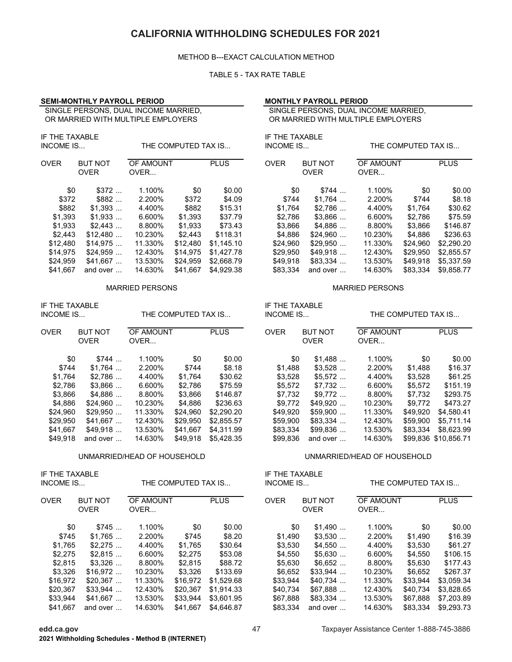#### METHOD B---EXACT CALCULATION METHOD

#### TABLE 5 - TAX RATE TABLE

### **SEMI-MONTHLY PAYROLL PERIOD MONTHLY PAYROLL PERIOD**

 SINGLE PERSONS, DUAL INCOME MARRIED, OR MARRIED WITH MULTIPLE EMPLOYERS

| IF THE TAXABLE<br>INCOME IS |                               |                   | THE COMPUTED TAX IS |             | IF THE TAXABLE<br><b>INCOME IS</b> |                               |                   | THE COMPUTED TAX IS |                |
|-----------------------------|-------------------------------|-------------------|---------------------|-------------|------------------------------------|-------------------------------|-------------------|---------------------|----------------|
| <b>OVER</b>                 | <b>BUT NOT</b><br><b>OVER</b> | OF AMOUNT<br>OVER |                     | <b>PLUS</b> | <b>OVER</b>                        | <b>BUT NOT</b><br><b>OVER</b> | OF AMOUNT<br>OVER |                     | <b>PLUS</b>    |
| \$0                         | \$372                         | 1.100%            | \$0                 | \$0.00      | \$0                                | \$744                         | 1.100%            | \$0                 | $\mathbb{S}^1$ |
| \$372                       | \$882                         | 2.200%            | \$372               | \$4.09      | \$744                              | \$1.764                       | 2.200%            | \$744               | \$             |
| \$882                       | \$1.393                       | 4.400%            | \$882               | \$15.31     | \$1.764                            | \$2.786                       | 4.400%            | \$1,764             | \$3            |
| \$1,393                     | \$1,933                       | 6.600%            | \$1,393             | \$37.79     | \$2,786                            | $$3,866$                      | 6.600%            | \$2,786             | \$7            |
| \$1,933                     | \$2.443                       | 8.800%            | \$1,933             | \$73.43     | \$3,866                            | \$4.886                       | 8.800%            | \$3,866             | \$14           |
| \$2,443                     | \$12,480                      | 10.230%           | \$2,443             | \$118.31    | \$4.886                            | \$24.960                      | 10.230%           | \$4,886             | \$23           |
| \$12,480                    | \$14.975                      | 11.330%           | \$12,480            | \$1.145.10  | \$24,960                           | \$29.950                      | 11.330%           | \$24,960            | \$2,29         |
| \$14,975                    | $$24.959$                     | 12.430%           | \$14,975            | \$1,427.78  | \$29,950                           | \$49,918                      | 12.430%           | \$29,950            | \$2,85         |
| \$24,959                    | \$41.667                      | 13.530%           | \$24,959            | \$2,668.79  | \$49,918                           | $$83.334$                     | 13.530%           | \$49,918            | \$5,33         |
| \$41,667                    | and over                      | 14.630%           | \$41,667            | \$4,929.38  | \$83,334                           | and over                      | 14.630%           | \$83,334            | \$9,85         |

| IF THE TAXABLE<br><b>INCOME IS</b> |                               |                   | THE COMPUTED TAX IS |             | IF THE TAXABLE<br><b>INCOME IS</b> |                               | THE COMPUTED TAX IS |                  |                |
|------------------------------------|-------------------------------|-------------------|---------------------|-------------|------------------------------------|-------------------------------|---------------------|------------------|----------------|
| <b>OVER</b>                        | <b>BUT NOT</b><br><b>OVER</b> | OF AMOUNT<br>OVER |                     | <b>PLUS</b> | <b>OVER</b>                        | <b>BUT NOT</b><br><b>OVER</b> | OF AMOUNT<br>OVER   |                  | <b>PLUS</b>    |
| \$0                                | \$744                         | 1.100%            | \$0                 | \$0.00      | \$0                                | \$1.488                       | 1.100%              | \$0              | $\mathfrak{g}$ |
| \$744                              | \$1.764                       | 2.200%            | \$744               | \$8.18      | \$1.488                            | \$3.528                       | 2.200%              | \$1,488          | \$10           |
| \$1.764                            | \$2.786                       | 4.400%            | \$1.764             | \$30.62     | \$3.528                            | $$5.572$                      | 4.400%              | \$3.528          | \$6            |
| \$2.786                            | \$3.866                       | 6.600%            | \$2.786             | \$75.59     | \$5.572                            | \$7.732                       | 6.600%              | \$5.572          | \$15           |
| \$3,866                            | \$4,886                       | 8.800%            | \$3,866             | \$146.87    | \$7,732                            | $$9.772$                      | 8.800%              | \$7,732          | \$29           |
| \$4.886                            | \$24.960                      | 10.230%           | \$4.886             | \$236.63    | \$9.772                            | $$49.920$                     | 10.230%             | \$9,772          | \$47           |
| \$24,960                           | \$29.950                      | 11.330%           | \$24.960            | \$2,290.20  | \$49.920                           | \$59.900                      | 11.330%             | \$49.920         | \$4,58         |
| \$29,950                           | \$41,667                      | 12.430%           | \$29,950            | \$2,855.57  | \$59,900                           | $$83.334$                     | 12.430%             | \$59,900         | \$5,71         |
| \$41.667                           | \$49.918                      | 13.530%           | \$41.667            | \$4.311.99  | \$83.334                           | $$99.836$                     | 13.530%             | \$83.334         | \$8,62         |
| \$49.918                           | and over                      | 14.630%           | \$49.918            | \$5.428.35  | \$99.836                           | and over                      | 14.630%             | \$99.836 \$10.85 |                |

IF THE TAXABLE IF THE TAXABLE

| OVER     | <b>BUT NOT</b><br><b>OVER</b> | OF AMOUNT<br>OVER |          | <b>PLUS</b> | <b>OVER</b> | <b>BUT NOT</b><br><b>OVER</b> | OF AMOUNT<br>OVER |          | <b>PLUS</b> |
|----------|-------------------------------|-------------------|----------|-------------|-------------|-------------------------------|-------------------|----------|-------------|
|          |                               |                   |          |             |             |                               |                   |          |             |
| \$0      | \$745                         | 1.100%            | \$0      | \$0.00      | \$0         | \$1.490                       | 1.100%            | \$0      | \$0.00      |
| \$745    | \$1.765                       | 2.200%            | \$745    | \$8.20      | \$1,490     | \$3.530                       | 2.200%            | \$1,490  | \$16.39     |
| \$1.765  | \$2.275                       | 4.400%            | \$1.765  | \$30.64     | \$3.530     | \$4.550                       | 4.400%            | \$3.530  | \$61.27     |
| \$2,275  | \$2.815                       | 6.600%            | \$2,275  | \$53.08     | \$4.550     | \$5.630                       | 6.600%            | \$4,550  | \$106.15    |
| \$2,815  | $$3.326$                      | 8.800%            | \$2.815  | \$88.72     | \$5,630     | \$6.652                       | 8.800%            | \$5,630  | \$177.43    |
| \$3,326  | $$16.972$                     | 10.230%           | \$3,326  | \$133.69    | \$6,652     | $$33,944$                     | 10.230%           | \$6.652  | \$267.37    |
| \$16.972 | \$20.367                      | 11.330%           | \$16.972 | \$1.529.68  | \$33.944    | $$40.734$                     | 11.330%           | \$33.944 | \$3.059.34  |
| \$20,367 | $$33,944$                     | 12.430%           | \$20.367 | \$1,914.33  | \$40.734    | \$67.888                      | 12.430%           | \$40,734 | \$3,828.65  |
| \$33,944 | \$41.667                      | 13.530%           | \$33.944 | \$3,601.95  | \$67,888    | $$83.334$                     | 13.530%           | \$67,888 | \$7,203.89  |
| \$41,667 | and over                      | 14.630%           | \$41,667 | \$4,646.87  | \$83,334    | and over                      | 14.630%           | \$83.334 | \$9,293.73  |
|          |                               |                   |          |             |             |                               |                   |          |             |

 SINGLE PERSONS, DUAL INCOME MARRIED, OR MARRIED WITH MULTIPLE EMPLOYERS

| /ER      | <b>BUT NOT</b><br><b>OVER</b> | <u>UF AMUUNT</u><br>OVER |          | PLUS.      | UVER     | <b>BUT NOT</b><br><b>OVER</b> | UF AMUUN I<br>OVER |          | PLUS.      |
|----------|-------------------------------|--------------------------|----------|------------|----------|-------------------------------|--------------------|----------|------------|
| \$0      | \$372                         | 1.100%                   | \$0      | \$0.00     | \$0      | \$744                         | 1.100%             | \$0      | \$0.00     |
| \$372    | \$882                         | 2.200%                   | \$372    | \$4.09     | \$744    | \$1.764                       | 2.200%             | \$744    | \$8.18     |
| \$882    | \$1,393                       | 4.400%                   | \$882    | \$15.31    | \$1.764  | \$2.786                       | 4.400%             | \$1.764  | \$30.62    |
| \$1,393  | \$1,933                       | 6.600%                   | \$1,393  | \$37.79    | \$2.786  | \$3,866                       | 6.600%             | \$2.786  | \$75.59    |
| \$1,933  | \$2.443                       | 8.800%                   | \$1,933  | \$73.43    | \$3.866  | \$4.886                       | 8.800%             | \$3.866  | \$146.87   |
| \$2,443  | \$12,480                      | 10.230%                  | \$2.443  | \$118.31   | \$4.886  | \$24.960                      | 10.230%            | \$4.886  | \$236.63   |
| \$12.480 | \$14.975                      | 11.330%                  | \$12,480 | \$1.145.10 | \$24.960 | \$29.950                      | 11.330%            | \$24.960 | \$2,290.20 |
| \$14,975 | \$24,959                      | 12.430%                  | \$14,975 | \$1.427.78 | \$29,950 | \$49.918                      | 12.430%            | \$29.950 | \$2,855.57 |
| \$24.959 | \$41.667                      | 13.530%                  | \$24.959 | \$2,668.79 | \$49.918 | $$83.334$                     | 13.530%            | \$49.918 | \$5.337.59 |
| \$41.667 | and over                      | 14.630%                  | \$41,667 | \$4.929.38 | \$83.334 | and over                      | 14.630%            | \$83.334 | \$9,858.77 |
|          |                               |                          |          |            |          |                               |                    |          |            |

#### MARRIED PERSONS MARRIED PERSONS

# INCOME IS...

| /ER      | <b>BUT NOT</b><br><b>OVER</b> | OF AMOUNT<br>OVER |          | <b>PLUS</b> | <b>OVER</b> | <b>BUT NOT</b><br><b>OVER</b> | OF AMOUNT<br>OVER |          | <b>PLUS</b>          |
|----------|-------------------------------|-------------------|----------|-------------|-------------|-------------------------------|-------------------|----------|----------------------|
| \$0      | \$744                         | 1.100%            | \$0      | \$0.00      | \$0         | \$1.488                       | 1.100%            | \$0      | \$0.00               |
| \$744    | \$1.764                       | 2.200%            | \$744    | \$8.18      | \$1.488     | \$3.528                       | 2.200%            | \$1,488  | \$16.37              |
| \$1,764  | \$2.786                       | 4.400%            | \$1.764  | \$30.62     | \$3.528     | \$5.572                       | 4.400%            | \$3,528  | \$61.25              |
| \$2,786  | $$3,866$                      | 6.600%            | \$2.786  | \$75.59     | \$5.572     | $$7.732$                      | 6.600%            | \$5,572  | \$151.19             |
| \$3,866  | \$4,886                       | 8.800%            | \$3.866  | \$146.87    | \$7,732     | \$9.772                       | 8.800%            | \$7,732  | \$293.75             |
| \$4,886  | \$24.960                      | 10.230%           | \$4.886  | \$236.63    | \$9.772     | $$49.920$                     | 10.230%           | \$9.772  | \$473.27             |
| \$24.960 | \$29.950                      | 11.330%           | \$24.960 | \$2,290.20  | \$49.920    | \$59.900                      | 11.330%           | \$49.920 | \$4.580.41           |
| \$29,950 | \$41,667                      | 12.430%           | \$29.950 | \$2,855.57  | \$59,900    | $$83.334$                     | 12.430%           | \$59,900 | \$5.711.14           |
| \$41,667 | \$49.918                      | 13.530%           | \$41.667 | \$4.311.99  | \$83,334    | $$99.836$                     | 13.530%           | \$83.334 | \$8.623.99           |
| \$49.918 | and over                      | 14.630%           | \$49.918 | \$5.428.35  | \$99.836    | and over                      | 14.630%           |          | \$99.836 \$10.856.71 |

#### UNMARRIED/HEAD OF HOUSEHOLD UNMARRIED/HEAD OF HOUSEHOLD

INCOME IS... INCOME IS... THE COMPUTED TAX IS... THE COMPUTED TAX IS...

| /ER      | <b>BUT NOT</b> | OF AMOUNT |          | <b>PLUS</b> | <b>OVER</b> | <b>BUT NOT</b> | OF AMOUNT |          | <b>PLUS</b> |
|----------|----------------|-----------|----------|-------------|-------------|----------------|-----------|----------|-------------|
|          | <b>OVER</b>    | OVER      |          |             |             | <b>OVER</b>    |           | OVER     |             |
| \$0      | \$745          | 1.100%    | \$0      | \$0.00      | \$0         | \$1.490        | 1.100%    | \$0      | \$0.00      |
|          |                |           |          |             |             |                |           |          |             |
| \$745    | \$1.765        | 2.200%    | \$745    | \$8.20      | \$1.490     | \$3.530        | 2.200%    | \$1.490  | \$16.39     |
| \$1,765  | \$2.275        | 4.400%    | \$1.765  | \$30.64     | \$3.530     | $$4.550$       | 4.400%    | \$3.530  | \$61.27     |
| \$2,275  | \$2.815        | 6.600%    | \$2.275  | \$53.08     | \$4.550     | \$5.630        | 6.600%    | \$4.550  | \$106.15    |
| \$2,815  | $$3.326$       | 8.800%    | \$2.815  | \$88.72     | \$5.630     | $$6.652$       | 8.800%    | \$5.630  | \$177.43    |
| \$3,326  | \$16,972       | 10.230%   | \$3,326  | \$133.69    | \$6,652     | $$33,944$      | 10.230%   | \$6,652  | \$267.37    |
| \$16.972 | \$20,367       | 11.330%   | \$16.972 | \$1.529.68  | \$33.944    | $$40.734$      | 11.330%   | \$33.944 | \$3.059.34  |
| \$20.367 | $$33.944$      | 12.430%   | \$20,367 | \$1.914.33  | \$40.734    | \$67.888       | 12.430%   | \$40.734 | \$3.828.65  |
| \$33,944 | \$41,667       | 13.530%   | \$33.944 | \$3.601.95  | \$67,888    | $$83,334$      | 13.530%   | \$67.888 | \$7,203.89  |
| \$41.667 | and over       | 14.630%   | \$41.667 | \$4,646.87  | \$83.334    | and over       | 14.630%   | \$83.334 | \$9.293.73  |